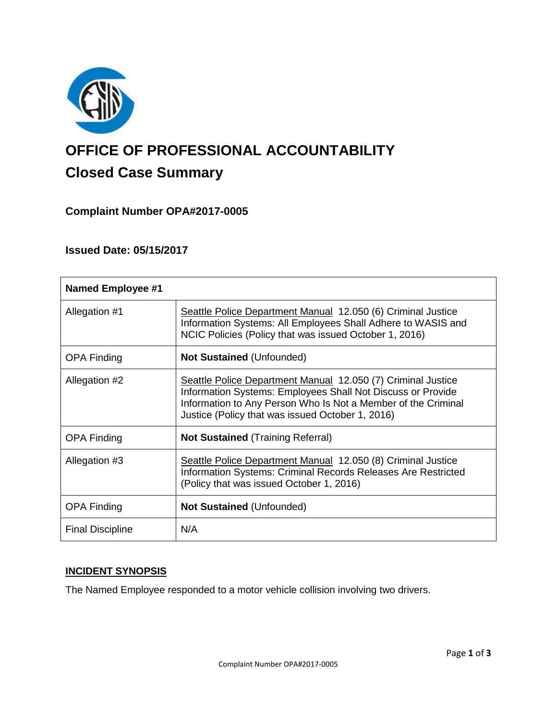

# **OFFICE OF PROFESSIONAL ACCOUNTABILITY Closed Case Summary**

# **Complaint Number OPA#2017-0005**

## **Issued Date: 05/15/2017**

| <b>Named Employee #1</b> |                                                                                                                                                                                                                                                  |
|--------------------------|--------------------------------------------------------------------------------------------------------------------------------------------------------------------------------------------------------------------------------------------------|
| Allegation #1            | Seattle Police Department Manual 12.050 (6) Criminal Justice<br>Information Systems: All Employees Shall Adhere to WASIS and<br>NCIC Policies (Policy that was issued October 1, 2016)                                                           |
| <b>OPA Finding</b>       | <b>Not Sustained (Unfounded)</b>                                                                                                                                                                                                                 |
| Allegation #2            | Seattle Police Department Manual 12.050 (7) Criminal Justice<br>Information Systems: Employees Shall Not Discuss or Provide<br>Information to Any Person Who Is Not a Member of the Criminal<br>Justice (Policy that was issued October 1, 2016) |
| <b>OPA Finding</b>       | <b>Not Sustained</b> (Training Referral)                                                                                                                                                                                                         |
| Allegation #3            | Seattle Police Department Manual 12.050 (8) Criminal Justice<br>Information Systems: Criminal Records Releases Are Restricted<br>(Policy that was issued October 1, 2016)                                                                        |
| <b>OPA Finding</b>       | <b>Not Sustained (Unfounded)</b>                                                                                                                                                                                                                 |
| <b>Final Discipline</b>  | N/A                                                                                                                                                                                                                                              |

## **INCIDENT SYNOPSIS**

The Named Employee responded to a motor vehicle collision involving two drivers.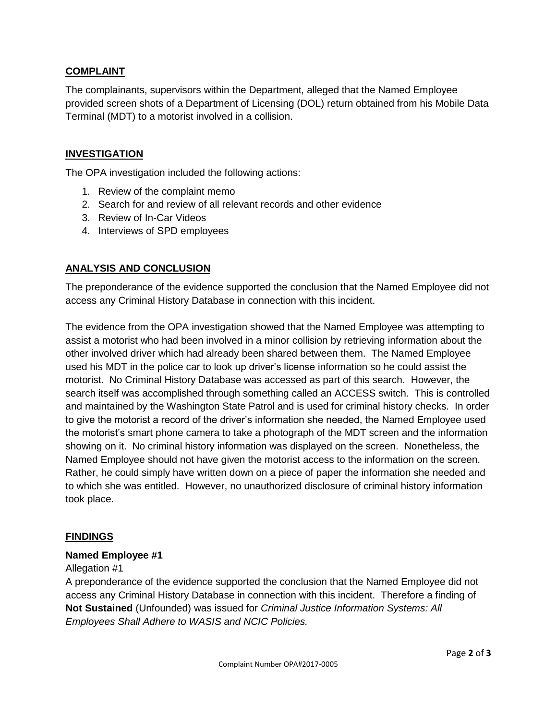## **COMPLAINT**

The complainants, supervisors within the Department, alleged that the Named Employee provided screen shots of a Department of Licensing (DOL) return obtained from his Mobile Data Terminal (MDT) to a motorist involved in a collision.

## **INVESTIGATION**

The OPA investigation included the following actions:

- 1. Review of the complaint memo
- 2. Search for and review of all relevant records and other evidence
- 3. Review of In-Car Videos
- 4. Interviews of SPD employees

## **ANALYSIS AND CONCLUSION**

The preponderance of the evidence supported the conclusion that the Named Employee did not access any Criminal History Database in connection with this incident.

The evidence from the OPA investigation showed that the Named Employee was attempting to assist a motorist who had been involved in a minor collision by retrieving information about the other involved driver which had already been shared between them. The Named Employee used his MDT in the police car to look up driver's license information so he could assist the motorist. No Criminal History Database was accessed as part of this search. However, the search itself was accomplished through something called an ACCESS switch. This is controlled and maintained by the Washington State Patrol and is used for criminal history checks. In order to give the motorist a record of the driver's information she needed, the Named Employee used the motorist's smart phone camera to take a photograph of the MDT screen and the information showing on it. No criminal history information was displayed on the screen. Nonetheless, the Named Employee should not have given the motorist access to the information on the screen. Rather, he could simply have written down on a piece of paper the information she needed and to which she was entitled. However, no unauthorized disclosure of criminal history information took place.

## **FINDINGS**

#### **Named Employee #1**

#### Allegation #1

A preponderance of the evidence supported the conclusion that the Named Employee did not access any Criminal History Database in connection with this incident. Therefore a finding of **Not Sustained** (Unfounded) was issued for *Criminal Justice Information Systems: All Employees Shall Adhere to WASIS and NCIC Policies.*